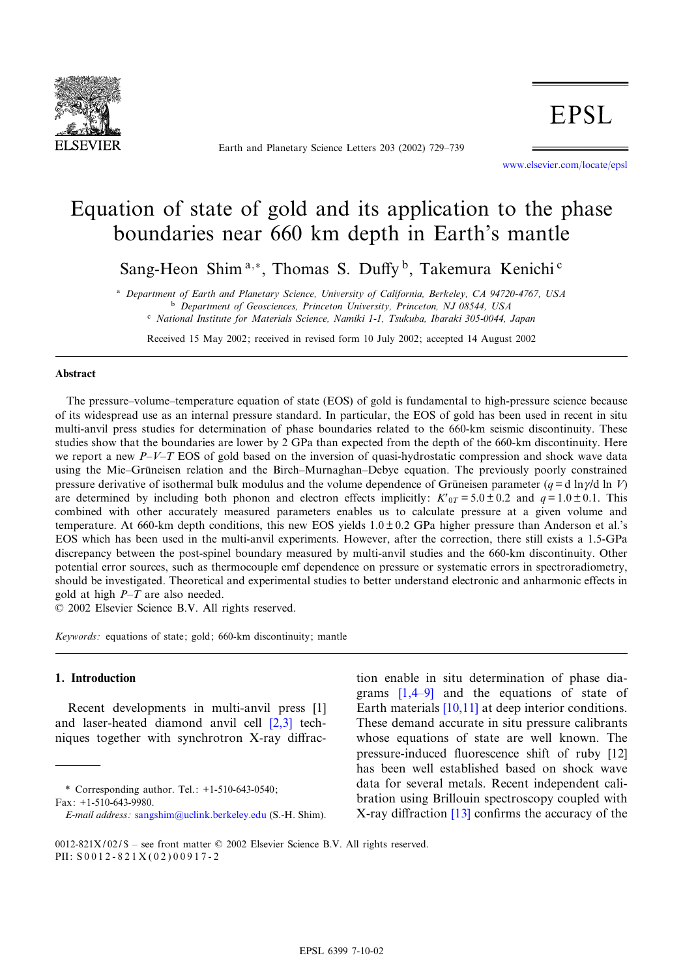

Earth and Planetary Science Letters 203 (2002) 729-739

www.elsevier.com/locate/epsl

# Equation of state of gold and its application to the phase boundaries near 660 km depth in Earth's mantle

Sang-Heon Shim<sup>a,\*</sup>, Thomas S. Duffy<sup>b</sup>, Takemura Kenichi<sup>c</sup>

<sup>a</sup> Department of Earth and Planetary Science, University of California, Berkeley, CA 94720-4767, USA b Department of Geosciences, Princeton University, Princeton, NJ 08544, USA <sup>c</sup> National Institute for Materials Science, Namiki 1-1, Tsukuba, Ibaraki 305-0044, Japan

Received 15 May 2002; received in revised form 10 July 2002; accepted 14 August 2002

## Abstract

The pressure–volume–temperature equation of state (EOS) of gold is fundamental to high-pressure science because of its widespread use as an internal pressure standard. In particular, the EOS of gold has been used in recent in situ multi-anvil press studies for determination of phase boundaries related to the 660-km seismic discontinuity. These studies show that the boundaries are lower by 2 GPa than expected from the depth of the 660-km discontinuity. Here we report a new  $P-V-T$  EOS of gold based on the inversion of quasi-hydrostatic compression and shock wave data using the Mie–Grüneisen relation and the Birch–Murnaghan–Debye equation. The previously poorly constrained pressure derivative of isothermal bulk modulus and the volume dependence of Grüneisen parameter ( $q = d \ln \gamma/d \ln V$ ) are determined by including both phonon and electron effects implicitly:  $K'_{0T} = 5.0 \pm 0.2$  and  $q = 1.0 \pm 0.1$ . This combined with other accurately measured parameters enables us to calculate pressure at a given volume and temperature. At 660-km depth conditions, this new EOS yields  $1.0 \pm 0.2$  GPa higher pressure than Anderson et al.'s EOS which has been used in the multi-anvil experiments. However, after the correction, there still exists a 1.5-GPa discrepancy between the post-spinel boundary measured by multi-anvil studies and the 660-km discontinuity. Other potential error sources, such as thermocouple emf dependence on pressure or systematic errors in spectroradiometry, should be investigated. Theoretical and experimental studies to better understand electronic and anharmonic effects in gold at high  $P-T$  are also needed.

 $© 2002 Elsevier Science B.V. All rights reserved.$ 

Keywords: equations of state; gold; 660-km discontinuity; mantle

# 1. Introduction

Recent developments in multi-anvi[l](#page-9-0) [pre](#page-9-0)ss [1] and laser-heated diamond anvil cell [2,3] techniques together with synchrotron  $X$ -ray diffrac-

\* Correspondin[g author. Tel.: +1-510-643-054](mailto:sangshim@uclink.berkeley.edu)0; Fax: +1-510-643-9980.

tion en[able](#page-9-0) [in situ de](#page-9-0)termination of phase diagrams  $[1,4–9]$  and the equations of state of Earth materials [10,11] at deep interior conditions. These demand accurate in situ pressure calibr[ants](#page-9-0) whose equations of state are well known. The pressure-induced fluorescence shift of ruby [12] has been well established based on shock wave data for several [meta](#page-9-0)ls. Recent independent calibration using Brillouin spectroscopy coupled with X-ray diffraction  $[13]$  confirms the accuracy of the

E-mail address: sangshim@uclink.berkeley.edu (S.-H. Shim).

<sup>0012-821</sup>X/02/\$ - see front matter  $©$  2002 Elsevier Science B.V. All rights reserved. PII: S 0 0 1 2 - 8 2 1 X ( 0 2 ) 0 0 9 1 7 - 2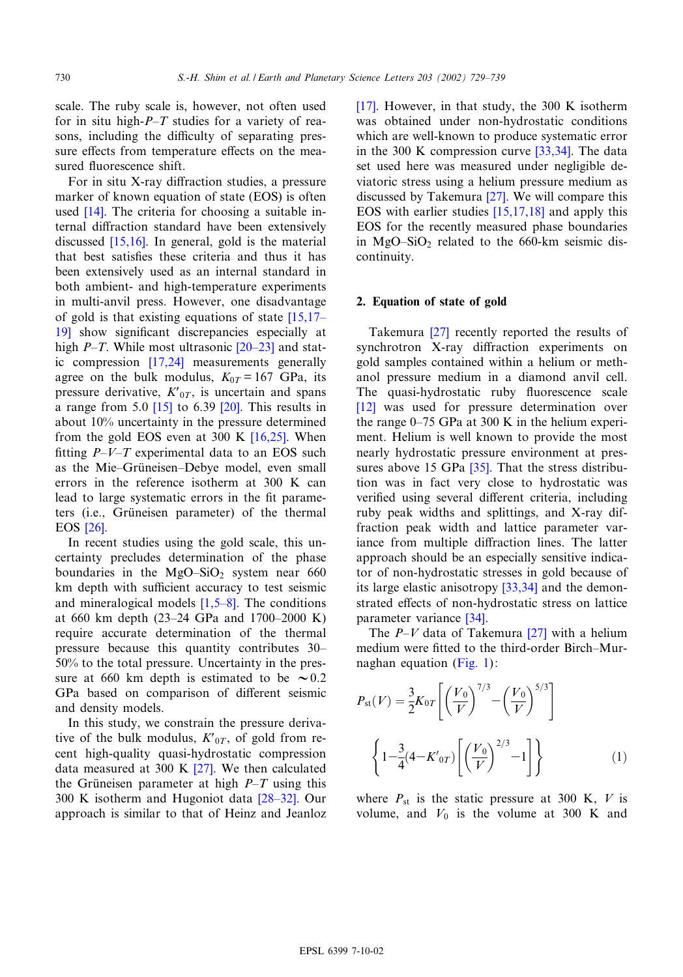<span id="page-1-0"></span>scale. The ruby scale is, however, not often used for in situ high- $P$ -T studies for a variety of reasons, including the difficulty of separating pressure effects from temperature effects on the measured fluorescence shift.

Fo[r in](#page-9-0) situ X-ray diffraction studies, a pressure marker of known equation of state (EOS) is often used [14]. [The cr](#page-9-0)iteria for choosing a suitable internal diffraction standard have been extensively discussed  $[15,16]$ . In general, gold is the material that best satis¢es these criteria and thus it has been extensively used as an internal standard in both ambient- and high-temperature expe[riments](#page-9-0) [in](#page-9-0) multi-anvil press. However, one disadvantage of gold is that existing equation[s of stat](#page-9-0)e  $[15,17]$ 19] show signifi[cant d](#page-9-0)iscrepancies especially at high  $P$ -T. While most ultrasonic  $[20-23]$  and static compression [17,24] measurements generally agree on the bul[k m](#page-9-0)odulus,  $K_{0T} = 167$  $K_{0T} = 167$  GPa, its pressure derivative,  $K'_{0T}$ , is uncertain and spans a range from 5.0  $[15]$  to 6.39  $[20]$ . [This re](#page-9-0)sults in about 10% uncertainty in the pressure determined from the gold EOS even at 300 K  $[16,25]$ . When fitting  $P-V-T$  experimental data to an EOS such as the Mie-Grüneisen-Debye model, even small errors in the reference isotherm at 300 K can lead [to la](#page-10-0)rge systematic errors in the fit parameters (i.e., Grüneisen parameter) of the thermal EOS [26].

In recent studies using the gold scale, this uncertainty precludes determination of the phase boundaries in the  $MgO-SiO<sub>2</sub>$  system near 660 km depth with sufficient accuracy to test seismic and mineralogical models  $[1,5-8]$ . The conditions at 660 km depth (23–24 GPa and 1700–2000 K) require accurate determination of the thermal pressure because this quantity contributes 30^ 50% to the total pressure. Uncertainty in the pressure at 660 km depth is estimated to be  $\sim 0.2$ GPa based on comparison of different seismic and density models.

In this study, we constrain the pressure derivative of the bulk modulus,  $K'_{0T}$  $K'_{0T}$ , of gold from recent high-quality quasi-hydrostatic compression data measured at 300 K [27]. We th[en calcu](#page-10-0)lated the Grüneisen parameter at high  $P-T$  using this 300 K isotherm and Hugoniot data  $[28-32]$ . Our approach is similar to that of Heinz and Jeanloz [17]. However, in that study, the 300 K isotherm was obtained under non-hydro[static](#page-10-0) conditions which are well-known to produce systematic error in the 300 K compression curve [33,34]. The data set used here was mea[sured](#page-10-0) under negligible deviatoric stress using a he[lium press](#page-9-0)ure medium as discussed by Takemura [27]. We will compare this EOS with earlier studies [15,17,18] and apply this EOS for the recently measured phase boundaries in  $MgO-SiO<sub>2</sub>$  related to the 660-km seismic discontinuity.

# 2. Equation [of sta](#page-10-0)te of gold

Takemura [27] recently reported the results of synchrotron X-ray diffraction experiments on gold samples contained within a helium or meth[ano](#page-9-0)l pressure medium in a diamond anvil cell. The quasi-hydrostatic ruby fluorescence scale [12] was used for pressure determination over the range  $0-75$  GPa at 300 K in the helium experiment. Helium is wel[l kn](#page-10-0)own to provide the most nearly hydrostatic pressure environment at pressures above 15 GPa [35]. That the stress distribution was in fact very close to hydrostatic was verified using several different criteria, including ruby peak widths and splittings, and X-ray diffraction peak width and lattice parameter variance from multiple diffraction lines. The latter approach should be an es[pecially](#page-10-0) sensitive indicator of non-hydrostatic stresses in gold because of its large elastic anis[otrop](#page-10-0)y [33,34] and the demonstrated effects of non-hydrosta[tic st](#page-10-0)ress on lattice parameter variance [34].

The  $P-V$  data [of Take](#page-2-0)mura [27] with a helium medium were fitted to the third-order Birch-Murnaghan equation (Fig. 1):

$$
P_{\rm st}(V) = \frac{3}{2} K_{0T} \left[ \left( \frac{V_0}{V} \right)^{7/3} - \left( \frac{V_0}{V} \right)^{5/3} \right]
$$

$$
\left\{ 1 - \frac{3}{4} (4 - K'_{0T}) \left[ \left( \frac{V_0}{V} \right)^{2/3} - 1 \right] \right\} \tag{1}
$$

where  $P_{st}$  is the static pressure at 300 K, V is volume, and  $V_0$  is the volume at 300 K and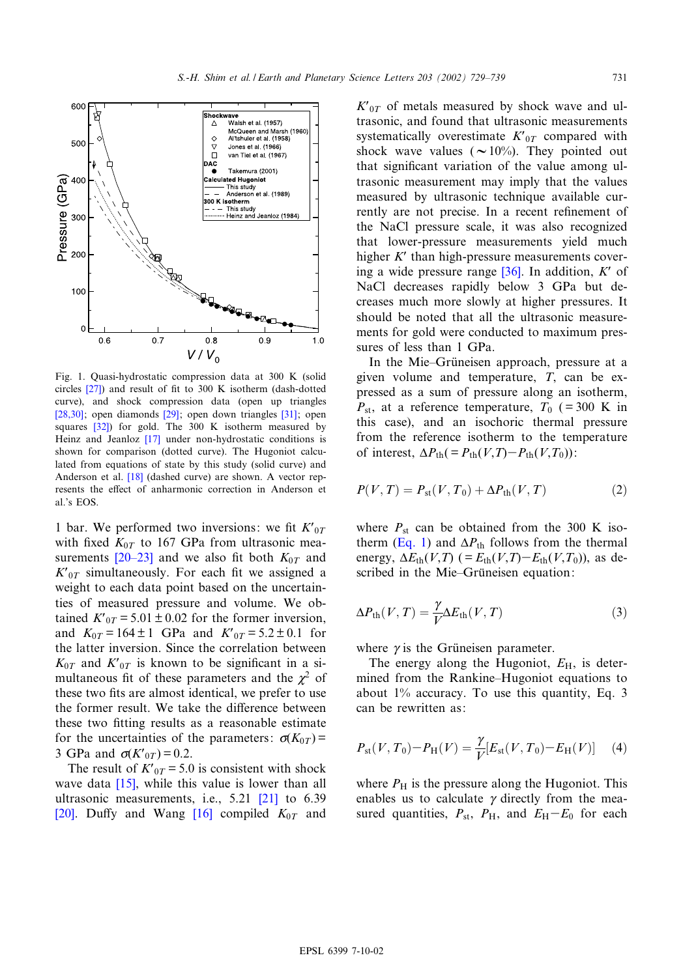<span id="page-2-0"></span>

Fig. 1. Quasi-hydrostatic compression data at 300 K (solid [circles](#page-10-0)  $[27]$ ) and result of fit to 300 K isotherm (d[ash-](#page-10-0)dotted curve), [and](#page-10-0) shock compression data (open up triangles [28,30]; open diamo[nds](#page-9-0) [29]; open down triangles [31]; open squares [32]) for gold. The 300 K isotherm measured by Heinz and Jeanloz [17] under non-hydrostatic conditions is shown for com[paris](#page-9-0)on (dotted curve). The Hugoniot calculated from equations of state by this study (solid curve) and Anderson et al. [18] (dashed curve) are shown. A vector represents the effect of anharmonic correction in Anderson et al.'s EOS.

1 bar. We [perform](#page-9-0)ed two inversions: we fit  $K'_{0T}$ with fixed  $K_{0T}$  to 167 GPa from ultrasonic measurements  $[20-23]$  and we also fit both  $K_{0T}$  and  $K<sub>0T</sub>$  simultaneously. For each fit we assigned a weight to each data point based on the uncertainties of measured pressure and volume. We obtained  $K'_{0T} = 5.01 \pm 0.02$  for the former inversion, and  $K_{0T} = 164 \pm 1$  GPa and  $K'_{0T} = 5.2 \pm 0.1$  for the latter inversion. Since the correlation between  $K_{0T}$  and  $K'_{0T}$  is known to be significant in a simultaneous fit of these parameters and the  $\chi^2$  of these two fits are almost identical, we prefer to use the former result. We take the difference between these two fitting results as a reasonable estimate for the uncertainties of the parameters:  $\sigma(K_{0T})$  = 3 GPa and  $\sigma(K'_{0T}) = 0.2$ .

The result of  $K'_{0T} = 5.0$  is consiste[nt wi](#page-9-0)th shock [wav](#page-9-0)e data  $[15]$ , while thi[s va](#page-9-0)lue is lower than all ultrasonic measurements, i.e., 5.21 [21] to 6.39 [20]. Duffy and Wang [16] compiled  $K_{0T}$  and  $K_{0T}$  of metals measured by shock wave and ultrasonic, and found that ultrasonic measurements systematically overestimate  $K'_{0T}$  compared with shock wave values ( $\sim 10\%$ ). They pointed out that significant variation of the value among ultrasonic measurement may imply that the values measured by ultrasonic technique available currently are not precise. In a recent refinement of the NaCl pressure scale, it was also recognized that lower-pressure mea[surem](#page-10-0)ents yield much higher  $K'$  than high-pressure measurements covering a wide pressure range  $[36]$ . In addition, K' of NaCl decreases rapidly below 3 GPa but decreases much more slowly at higher pressures. It should be noted that all the ultrasonic measurements for gold were conducted to maximum pressures of less than 1 GPa.

In the Mie–Grüneisen approach, pressure at a given volume and temperature, T, can be expressed as a sum of pressure along an isotherm,  $P_{\text{st}}$ , at a reference temperature,  $T_0$  (=300 K in this case), and an isochoric thermal pressure from the reference isotherm to the temperature of interest,  $\Delta P_{\text{th}}( = P_{\text{th}}(V,T) - P_{\text{th}}(V,T_0))$ :

$$
P(V,T) = P_{\rm st}(V,T_0) + \Delta P_{\rm th}(V,T) \tag{2}
$$

where  $P_{st}$  [ca](#page-1-0)n be obtained from the 300 K isotherm (Eq. 1) and  $\Delta P_{\text{th}}$  follows from the thermal energy,  $\Delta E_{\text{th}}(V,T)$  (=  $E_{\text{th}}(V,T) - E_{\text{th}}(V,T_0)$ ), as described in the Mie–Grüneisen equation:

$$
\Delta P_{\text{th}}(V,T) = \frac{\gamma}{V} \Delta E_{\text{th}}(V,T) \tag{3}
$$

where  $\gamma$  is the Grüneisen parameter.

The energy along the Hugoniot,  $E_{\rm H}$ , is determined from the Rankine–Hugoniot equations to about 1% accuracy. To use this quantity, Eq. 3 can be rewritten as:

$$
P_{\rm st}(V,T_0) - P_{\rm H}(V) = \frac{\gamma}{V} [E_{\rm st}(V,T_0) - E_{\rm H}(V)] \tag{4}
$$

where  $P_{\rm H}$  is the pressure along the Hugoniot. This enables us to calculate  $\gamma$  directly from the measured quantities,  $P_{\text{st}}$ ,  $P_{\text{H}}$ , and  $E_{\text{H}}-E_{0}$  for each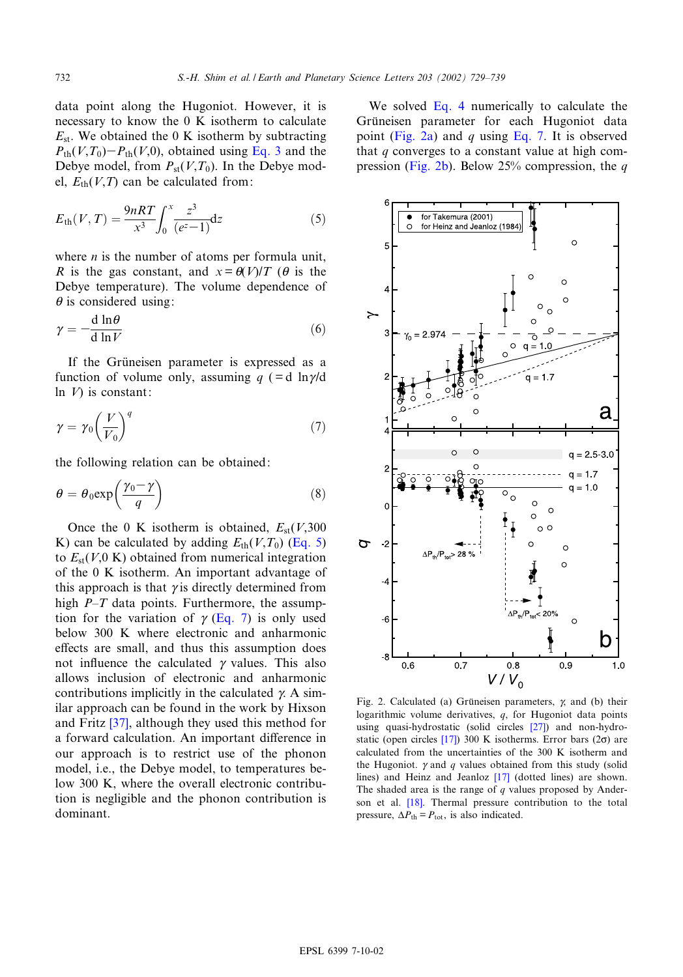<span id="page-3-0"></span>data point along the Hugoniot. However, it is necessary to know the 0 K isother[m to c](#page-2-0)alculate  $E_{\rm st}$ . We obtained the 0 K isotherm by subtracting  $P_{\text{th}}(V,T_0)-P_{\text{th}}(V,0)$ , obtained using Eq. 3 and the Debye model, from  $P_{st}(V,T_0)$ . In the Debye model,  $E_{\text{th}}(V,T)$  can be calculated from:

$$
E_{\text{th}}(V,T) = \frac{9nRT}{x^3} \int_0^x \frac{z^3}{(e^z - 1)} dz
$$
 (5)

where  $n$  is the number of atoms per formula unit, R is the gas constant, and  $x = \theta(V)/T$  ( $\theta$  is the Debye temperature). The volume dependence of  $\theta$  is considered using:

$$
\gamma = -\frac{\mathrm{d} \ln \theta}{\mathrm{d} \ln V} \tag{6}
$$

If the Grüneisen parameter is expressed as a function of volume only, assuming  $q$  (=d ln $\gamma$ /d In  $V$ ) is constant:

$$
\gamma = \gamma_0 \left(\frac{V}{V_0}\right)^q \tag{7}
$$

the following relation can be obtained:

$$
\theta = \theta_0 \exp\left(\frac{\gamma_0 - \gamma}{q}\right) \tag{8}
$$

Once the 0 K isotherm is obtained,  $E_{\text{st}}(V,300)$ K) can be calculated by adding  $E_{\text{th}}(V,T_0)$  (Eq. 5) to  $E_{\text{st}}(V,0 \text{ K})$  obtained from numerical integration of the 0 K isotherm. An important advantage of this approach is that  $\gamma$  is directly determined from high  $P-T$  data points. Furthermore, the assumption for the variation of  $\gamma$  (Eq. 7) is only used below 300 K where electronic and anharmonic effects are small, and thus this assumption does not influence the calculated  $\gamma$  values. This also allows inclusion of electronic and anharmonic contributi[ons](#page-10-0) implicitly in the calculated  $\gamma$ . A similar approach can be found in the work by Hixson and Fritz [37], although they used this method for a forward calculation. An important difference in our approach is to restrict use of the phonon model, i.e., the Debye model, to temperatures below 300 K, where the overall electronic contribution is negligible and the phonon contribution is dominant.

We solved Eq. 4 numerically to calculate the Grüneisen parameter for each Hugoniot data point (Fig. 2a) and q using Eq. 7. It is observed that  $q$  converges to a constant value at high compression (Fig. 2b). Below 25% compression, the  $q$ 



Fig. 2. Calculated (a) Grüneisen para[meter](#page-10-0)s,  $\chi$  and (b) their logarithmic volum[e der](#page-9-0)ivatives, q, for Hugoniot data points using quasi-hydrostatic (solid circles [27]) and non-hydrostatic (open circles  $[17]$ ) 300 K isotherms. Error bars (2 $\sigma$ ) are calculated from the uncertainti[es o](#page-9-0)f the 300 K isotherm and the Hugoniot.  $\gamma$  and  $q$  values obtained from this study (solid lines) and [Hein](#page-9-0)z and Jeanloz [17] (dotted lines) are shown. The shaded area is the range of  $q$  values proposed by Anderson et al. [18]. Thermal pressure contribution to the total pressure,  $\Delta P_{\text{th}} = P_{\text{tot}}$ , is also indicated.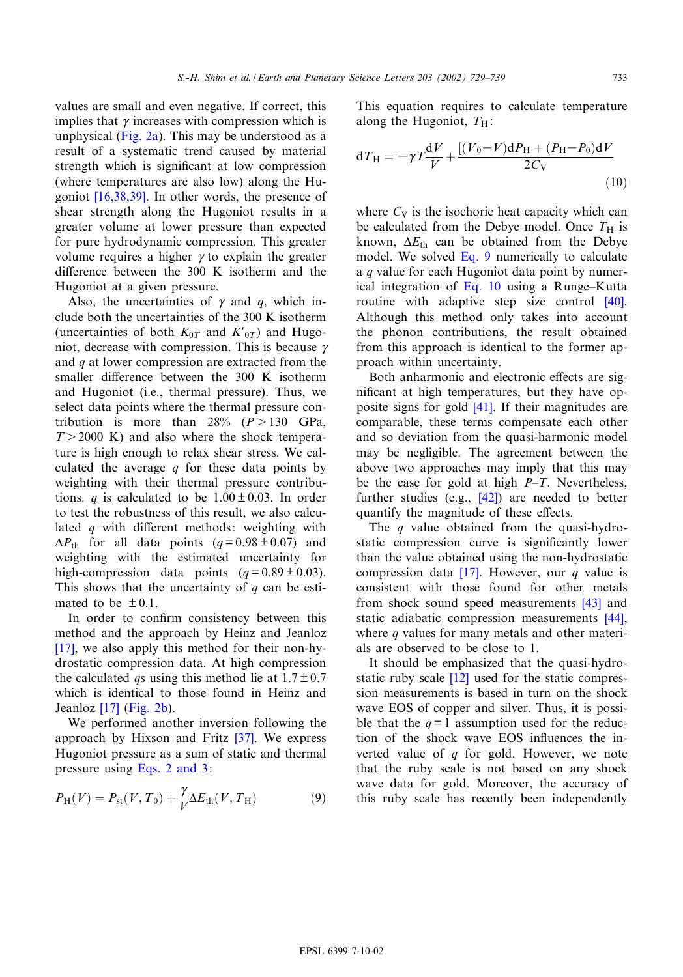values are s[mall an](#page-3-0)d even negative. If correct, this implies that  $\gamma$  increases with compression which is unphysical (Fig. 2a). This may be understood as a result of a systematic trend caused by material strengt[h which i](#page-9-0)s significant at low compression (where temperatures are also low) along the Hugoniot [16,38,39]. In other words, the presence of shear strength along the Hugoniot results in a greater volume at lower pressure than expected for pure hydrodynamic compression. This greater volume requires a higher  $\gamma$  to explain the greater difference between the  $300$  K isotherm and the Hugoniot at a given pressure.

Also, the uncertainties of  $\gamma$  and q, which include both the uncertainties of the 300 K isotherm (uncertainties of both  $K_{0T}$  and  $K'_{0T}$ ) and Hugoniot, decrease with compression. This is because  $\gamma$ and q at lower compression are extracted from the smaller difference between the  $300$  K isotherm and Hugoniot (i.e., thermal pressure). Thus, we select data points where the thermal pressure contribution is more than  $28\%$  ( $P > 130$  GPa,  $T > 2000$  K) and also where the shock temperature is high enough to relax shear stress. We calculated the average  $q$  for these data points by weighting with their thermal pressure contributions. *q* is calculated to be  $1.00 \pm 0.03$ . In order to test the robustness of this result, we also calculated  $q$  with different methods: weighting with  $\Delta P_{\text{th}}$  for all data points  $(q= 0.98 \pm 0.07)$  and weighting with the estimated uncertainty for high-compression data points  $(q= 0.89 \pm 0.03)$ . This shows that the uncertainty of  $q$  can be estimated to be  $\pm 0.1$ .

[In](#page-9-0) order to confirm consistency between this method and the approach by Heinz and Jeanloz [17], we also apply this method for their non-hydrostatic compression data. At high compression the calc[ulate](#page-9-0)d q[s usin](#page-3-0)g this method lie at  $1.7 \pm 0.7$ which is identical to those found in Heinz and Jeanloz [17] (Fig. 2b).

We performed another inversi[on](#page-10-0) following the approach by [Hixson and F](#page-2-0)ritz [37]. We express Hugoniot pressure as a sum of static and thermal pressure using Eqs. 2 and 3:

$$
P_{\rm H}(V) = P_{\rm st}(V, T_0) + \frac{\gamma}{V} \Delta E_{\rm th}(V, T_{\rm H})
$$
\n(9)

This equation requires to calculate temperature along the Hugoniot,  $T_H$ :

$$
dT_{\rm H} = -\gamma T \frac{dV}{V} + \frac{[(V_0 - V)dP_{\rm H} + (P_{\rm H} - P_0)dV}{2C_{\rm V}}
$$
\n(10)

where  $C_V$  is the isochoric heat capacity which can be calculated from the Debye model. Once  $T_H$  is known,  $\Delta E_{\text{th}}$  can be obtained from the Debye model. We solved Eq. 9 numerically to calculate a q value for each Hugoniot data point by nu[mer](#page-10-0)ical integration of Eq. 10 using a Runge-Kutta routine with adaptive step size control [40]. Although this method only takes into account the phonon contributions, the result obtained from this approach is identical to the former approach within uncertainty.

Both anharmonic [and](#page-10-0) electronic effects are significant at high temperatures, but they have opposite signs for gold [41]. If their magnitudes are comparable, these terms compensate each other and so deviation from the quasi-harmonic model may be negligible. The agreement between the above two approache[s ma](#page-10-0)y imply that this may be the case for gold at high  $P-T$ . Nevertheless, further studies (e.g., [42]) are needed to better quantify the magnitude of these effects.

The  $q$  value obtained from the quasi-hydrostatic compressio[n cu](#page-9-0)rve is significantly lower than the value obtained using the non-hydrostatic compression data  $[17]$ . However, our q [valu](#page-10-0)e is consistent with those found for other m[etals](#page-10-0) from shock sound speed measurements [43] and static adiabatic compression measurements [44], where q values for many metals and other materials are observed [to b](#page-9-0)e close to 1.

It should be emphasized that the quasi-hydrostatic ruby scale [12] used for the static compression measurements is based in turn on the shock wave EOS of copper and silver. Thus, it is possible that the  $q=1$  assumption used for the reduction of the shock wave EOS influences the inverted value of  $q$  for gold. However, we note that the ruby scale is not based on any shock wave data for gold. Moreover, the accuracy of this ruby scale has recently been independently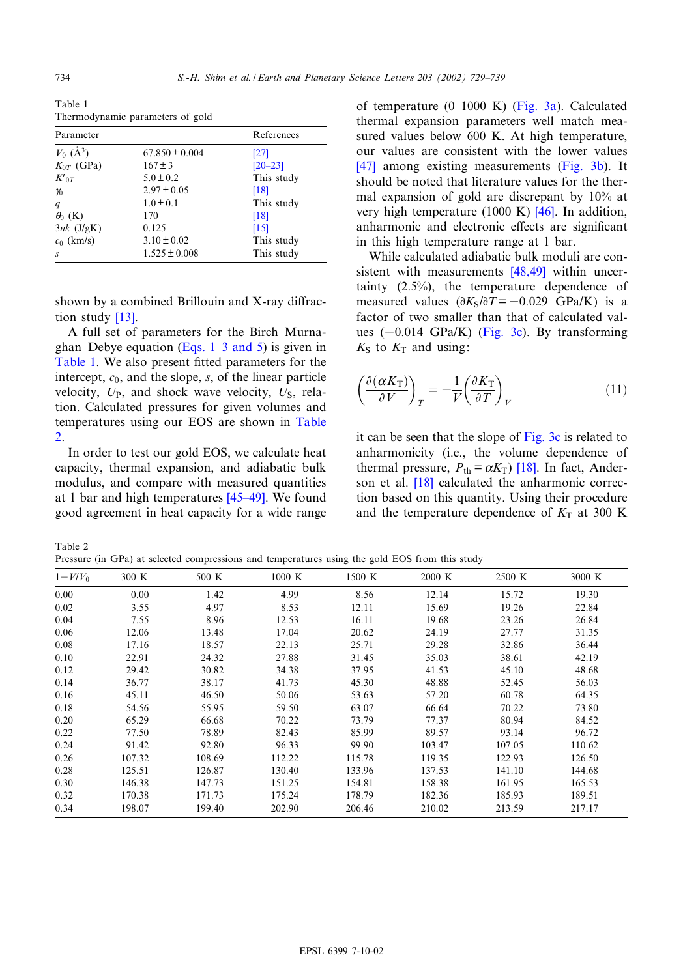<span id="page-5-0"></span>Table 1 Thermodynamic parameters of gold

| Parameter             | References         |             |
|-----------------------|--------------------|-------------|
| $V_0$ ( $A^3$ )       | $67.850 \pm 0.004$ | [27]        |
| $K_{0T}$ (GPa)        | $167 \pm 3$        | $[20 - 23]$ |
| $K_{0T}$              | $5.0 \pm 0.2$      | This study  |
| $\boldsymbol{\gamma}$ | $2.97 \pm 0.05$    | [18]        |
| q                     | $1.0 \pm 0.1$      | This study  |
| $\theta_0$ (K)        | 170                | [18]        |
| $3nk$ (J/gK)          | 0.125              | [15]        |
| $c_0$ (km/s)          | $3.10 \pm 0.02$    | This study  |
| S                     | $1.525 \pm 0.008$  | This study  |

shown by [a](#page-9-0) [com](#page-9-0)bined Brillouin and  $X$ -ray diffraction study [13].

A full set of parame[ters](#page-1-0) [for](#page-1-0) [the](#page-1-0) [Bir](#page-1-0)ch-Murnaghan–Debye equation (Eqs.  $1-3$  and 5) is given in Table 1. We also present fitted parameters for the intercept,  $c_0$ , and the slope,  $s$ , of the linear particle velocity,  $U_P$ , and shock wave velocity,  $U_S$ , relation. Calculated pressures for given volumes and temperatures using our EOS are shown in Table 2.

In order to test our gold EOS, we calculate heat capacity, thermal expansion, a[nd adia](#page-10-0)batic bulk modulus, and compare with measured quantities at 1 bar and high temperatures [45^49]. We found good agreement in heat capacity for a wide range

of temperature  $(0-1000 \text{ K})$  (Fig. 3a). Calculated thermal expansion parameters well match mea[sure](#page-10-0)d values below 600 K. At high [temperat](#page-6-0)ure, our values are consistent with the lower values [47] among existing measurements (Fig. 3b). It should be noted that literature v[alues](#page-10-0) for the thermal expansion of gold are discrepant by 10% at very high temperature  $(1000 \text{ K})$  [46]. In addition, anharmonic and electronic effects are significant in this high temperature ra[nge at 1](#page-10-0) bar.

While calculated adiabatic bulk moduli are consistent with measurements [48,49] within uncertainty (2.5%), the temperature dependence of measured values  $(\partial K_S/\partial T = -0.029 \text{ GPa/K})$  is a factor of two smaller t[han](#page-6-0) [tha](#page-6-0)t of calculated values  $(-0.014 \text{ GPa/K})$  (Fig. 3c). By transforming  $K<sub>S</sub>$  to  $K<sub>T</sub>$  and using:

$$
\left(\frac{\partial(\alpha K_{\rm T})}{\partial V}\right)_{T} = -\frac{1}{V} \left(\frac{\partial K_{\rm T}}{\partial T}\right)_{V} \tag{11}
$$

it can be seen that the slope of [Fig](#page-9-0). 3c is related to anharmon[icity](#page-9-0) (i.e., the volume dependence of thermal pressure,  $P_{\text{th}} = \alpha K_{\text{T}}$ ) [18]. In fact, Anderson et al. [18] calculated the anharmonic correction based on this quantity. Using their procedure and the temperature dependence of  $K<sub>T</sub>$  at 300 K

Table 2

Pressure (in GPa) at selected compressions and temperatures using the gold EOS from this study

| $1-V/V_0$ | 300 K  | 500 K  | $1000\ \mathrm{K}$ | 1500 K | 2000 K | 2500 K | 3000 K |
|-----------|--------|--------|--------------------|--------|--------|--------|--------|
| 0.00      | 0.00   | 1.42   | 4.99               | 8.56   | 12.14  | 15.72  | 19.30  |
| 0.02      | 3.55   | 4.97   | 8.53               | 12.11  | 15.69  | 19.26  | 22.84  |
| 0.04      | 7.55   | 8.96   | 12.53              | 16.11  | 19.68  | 23.26  | 26.84  |
| 0.06      | 12.06  | 13.48  | 17.04              | 20.62  | 24.19  | 27.77  | 31.35  |
| 0.08      | 17.16  | 18.57  | 22.13              | 25.71  | 29.28  | 32.86  | 36.44  |
| 0.10      | 22.91  | 24.32  | 27.88              | 31.45  | 35.03  | 38.61  | 42.19  |
| 0.12      | 29.42  | 30.82  | 34.38              | 37.95  | 41.53  | 45.10  | 48.68  |
| 0.14      | 36.77  | 38.17  | 41.73              | 45.30  | 48.88  | 52.45  | 56.03  |
| 0.16      | 45.11  | 46.50  | 50.06              | 53.63  | 57.20  | 60.78  | 64.35  |
| 0.18      | 54.56  | 55.95  | 59.50              | 63.07  | 66.64  | 70.22  | 73.80  |
| 0.20      | 65.29  | 66.68  | 70.22              | 73.79  | 77.37  | 80.94  | 84.52  |
| 0.22      | 77.50  | 78.89  | 82.43              | 85.99  | 89.57  | 93.14  | 96.72  |
| 0.24      | 91.42  | 92.80  | 96.33              | 99.90  | 103.47 | 107.05 | 110.62 |
| 0.26      | 107.32 | 108.69 | 112.22             | 115.78 | 119.35 | 122.93 | 126.50 |
| 0.28      | 125.51 | 126.87 | 130.40             | 133.96 | 137.53 | 141.10 | 144.68 |
| 0.30      | 146.38 | 147.73 | 151.25             | 154.81 | 158.38 | 161.95 | 165.53 |
| 0.32      | 170.38 | 171.73 | 175.24             | 178.79 | 182.36 | 185.93 | 189.51 |
| 0.34      | 198.07 | 199.40 | 202.90             | 206.46 | 210.02 | 213.59 | 217.17 |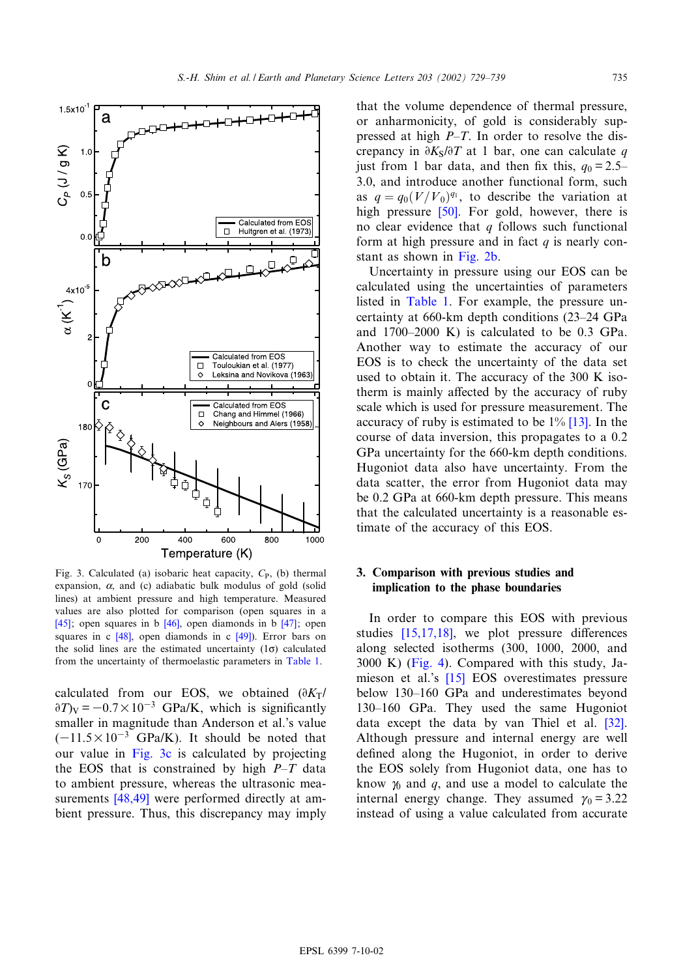<span id="page-6-0"></span>

Fig. 3. Calculated (a) isobaric heat capacity,  $C_{P}$ , (b) thermal expansion,  $\alpha$ , and (c) adiabatic bulk modulus of gold (solid [line](#page-10-0)s) at ambient pressu[re a](#page-10-0)nd high temperature. [Me](#page-10-0)asured values are al[so p](#page-10-0)lotted for comparison [\(op](#page-10-0)en squares in a [45]; open squares in b [46], open diamonds in b [47]; open squares in c  $[48]$ , open diamonds in c  $[49]$ ). Erro[r bars o](#page-5-0)n the solid lines are the estimated uncertainty  $(1\sigma)$  calculated from the uncertainty of thermoelastic parameters in Table 1.

calculated from our EOS, we obtained  $(\partial K_T)$  $\partial T$ <sub>V</sub> = -0.7 × 10<sup>-3</sup> GPa/K, which is significantly smaller in magnitude than Anderson et al.'s value  $(-11.5\times10^{-3}$  GPa/K). It should be noted that our value in Fig. 3c is calculated by projecting the EOS [that is](#page-10-0) constrained by high  $P-T$  data to ambient pressure, whereas the ultrasonic measurements [48,49] were performed directly at ambient pressure. Thus, this discrepancy may imply

that the volume dependence of thermal pressure, or anharmonicity, of gold is considerably suppressed at high  $P-T$ . In order to resolve the discrepancy in  $\partial K_S/\partial T$  at 1 bar, one can calculate q just from 1 bar data, and then fix this,  $q_0 = 2.5$ -3.0, and intro[duce](#page-10-0) another functional form, such as  $q = q_0 (V/V_0)^{q_1}$ , to describe the variation at high pressure [50]. For gold, however, there is no clear evidence [that](#page-3-0)  $q$  follows such functional form at high pressure and in fact  $q$  is nearly constant as shown in Fig. 2b.

Uncert[ainty in](#page-5-0) pressure using our EOS can be calculated using the uncertainties of parameters listed in Table 1. For example, the pressure uncertainty at 660-km depth conditions (23^24 GPa and  $1700-2000$  K) is calculated to be 0.3 GPa. Another way to estimate the accuracy of our EOS is to check the uncertainty of the data set used to obtain it. The accuracy of the 300 K isotherm is mainly affected by the accur[acy o](#page-9-0)f ruby scale which is used for pressure measurement. The accuracy of ruby is estimated to be  $1\%$  [13]. In the course of data inversion, this propagates to a 0.2 GPa uncertainty for the 660-km depth conditions. Hugoniot data also have uncertainty. From the data scatter, the error from Hugoniot data may be 0.2 GPa at 660-km depth pressure. This means that the calculated uncertainty is a reasonable estimate of the accuracy of this EOS.

# 3. Comparison with previous studies and implication to the phase boundaries

In or[der](#page-9-0) [to](#page-9-0) [co](#page-9-0)mpare this EOS with previous studies  $[15,17,18]$  $[15,17,18]$  $[15,17,18]$ , we plot pressure differences along selected [isoth](#page-9-0)erms (300, 1000, 2000, and 3000 K) (Fig. 4). Compared with this study, Jamieson et al.'s [15] EOS overestimates pressure below 130–160 GPa and underestimates be[yond](#page-10-0) 130–160 GPa. They used the same Hugoniot data except the data by van Thiel et al. [32]. Although pressure and internal energy are well defined along the Hugoniot, in order to derive the EOS solely from Hugoniot data, one has to know  $\gamma_0$  and  $q$ , and use a model to calculate the internal energy change. They assumed  $\gamma_0 = 3.22$ instead of using a value calculated from accurate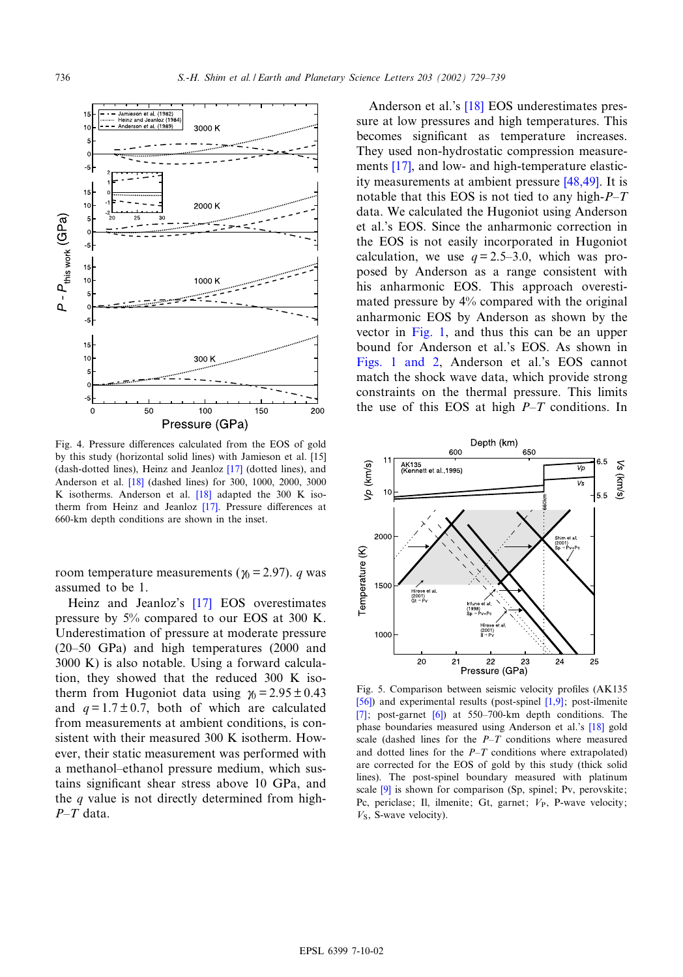<span id="page-7-0"></span>

Fig. 4. Pressure differences calculated [from](#page-9-0) the EOS of gold by this study (h[orizo](#page-9-0)ntal solid lines) with Jamieson et al. [15] (dash-dotted lines), Heinz and J[eanl](#page-9-0)oz [17] (dotted lines), and Anderson et al. [18] (dashed line[s\) fo](#page-9-0)r 300, 1000, 2000, 3000 K isotherms. Anderson et al.  $[18]$  adapted the 300 K isotherm from Heinz and Jeanloz  $[17]$ . Pressure differences at 660-km depth conditions are shown in the inset.

room temperature measu[reme](#page-9-0)nts ( $\gamma_0$  = 2.97). *q* was assumed to be 1.

Heinz and Jeanloz's [17] EOS overestimates pressure by 5% compared to our EOS at 300 K. Underestimation of pressure at moderate pressure  $(20-50 \text{ GPa})$  and high temperatures  $(2000 \text{ and }$ 3000 K) is also notable. Using a forward calculation, they showed that the reduced 300 K isotherm from Hugoniot data using  $\gamma_0 = 2.95 \pm 0.43$ and  $q = 1.7 \pm 0.7$ , both of which are calculated from measurements at ambient conditions, is consistent with their measured 300 K isotherm. However, their static measurement was performed with a methanol-ethanol pressure medium, which sustains significant shear stress above 10 GPa, and the q value is not directly determined from high- $P$ -T data.

Anderson et al.'s [18] EOS underestimates pressure at low pressures and high temperatures. This becom[es](#page-9-0) significant as temperature increases. They used non-hydrostatic compressi[on mea](#page-10-0)surements [17], and low- and high-temperature elasticity measurements at ambient pressure [48,49]. It is notable that this EOS is not tied to any high- $P$ -T data. We calculated the Hugoniot using Anderson et al.'s EOS. Since the anharmonic correction in the EOS is not easily incorporated in Hugoniot calculation, we use  $q = 2.5-3.0$ , which was proposed by Anderson as a range consistent with his anharmonic EOS. This approach overestimated pre[ssure b](#page-2-0)y 4% compared with the original anharmonic EOS by Anderson as shown by the [vector in](#page-2-0) Fig. 1, and thus this can be an upper bound for Anderson et al.'s EOS. As shown in Figs. 1 and 2, Anderson et al.'s EOS cannot match the shock wave data, which provide strong constraints on the thermal pressure. This limits the use of this EOS at high  $P-T$  conditions. In



[Fig](#page-9-0). 5. Comparis[on](#page-9-0) between seismic velocity profiles (AK135) [56]) and experimental results (post-spinel [1,9]; pos[t-ilm](#page-9-0)enite [7]; post-garnet  $[6]$ ) at 550-700-km depth conditions. The phase boundaries measured using Anderson et al.'s [18] gold scale (dashed lines for the  $P-T$  conditions where measured and dotted lines for the  $P-T$  conditions where extrapolated) are c[orr](#page-9-0)ected for the EOS of gold by this study (thick solid lines). The post-spinel boundary measured with platinum scale [9] is shown for comparison (Sp, spinel; Pv, perovskite; Pc, periclase; Il, ilmenite; Gt, garnet;  $V_{P}$ , P-wave velocity;  $V<sub>S</sub>$ , S-wave velocity).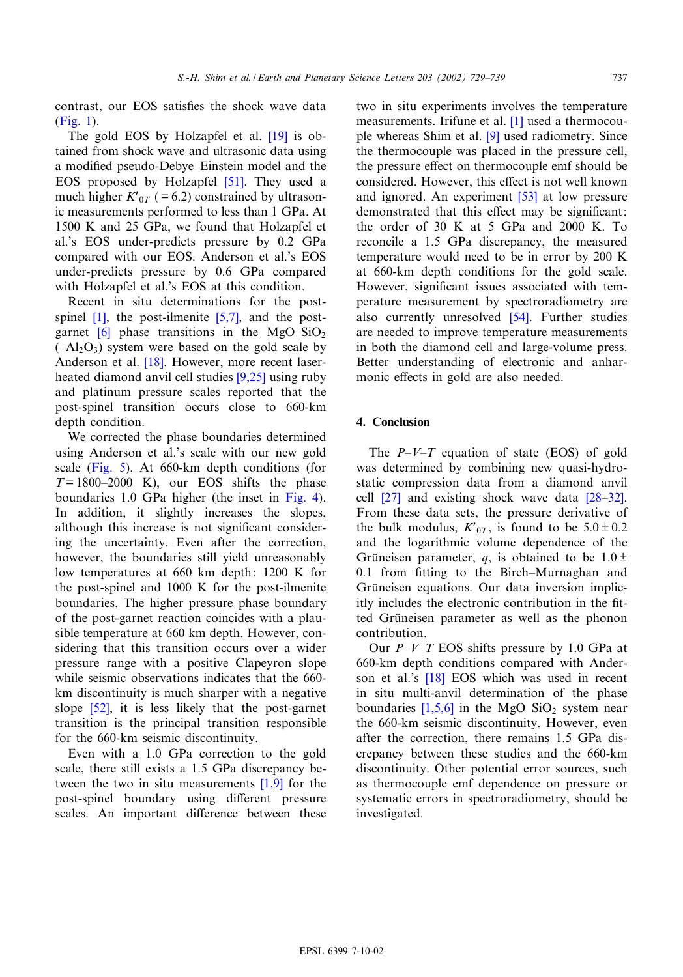[contras](#page-2-0)t, our EOS satisfies the shock [wav](#page-9-0)e data (Fig. 1).

The gold EOS by Holzapfel et al. [19] is obtained from shock wave and ul[traso](#page-10-0)nic data using a modified pseudo-Debye-Einstein model and the EOS proposed by Holzapfel [51]. They used a much higher  $K_{0T}$  ( = 6.2) constrained by ultrasonic measurements performed to less than 1 GPa. At 1500 K and 25 GPa, we found that Holzapfel et al.'s EOS under-predicts pressure by 0.2 GPa compared with our EOS. Anderson et al.'s EOS under-predicts pressure by 0.6 GPa compared with [Holz](#page-9-0)apfel et al.'s EOS [at thi](#page-9-0)s condition.

Rece[nt](#page-9-0) in situ determinations for the postspinel  $[1]$ , the post-ilmenite  $[5,7]$ , and the postgarnet  $[6]$  phas[e tr](#page-9-0)ansitions in the MgO-SiO<sub>2</sub>  $(-Al<sub>2</sub>O<sub>3</sub>)$  system were based on t[he go](#page-9-0)ld scale by Anderson et al. [18]. However, more recent laserheated diamond anvil cell studies [9,25] using ruby and platinum pressure scales reported that the post-spinel transition occurs close to 660-km depth condition.

We [correct](#page-7-0)ed the phase boundaries determined using Anderson et al.'s scale with our new gold scale (Fig. 5). At 660-km depth conditi[ons \(fo](#page-7-0)r  $T = 1800 - 2000$  K), our EOS shifts the phase boundaries 1.0 GPa higher (the inset in Fig. 4). In addition, it slightly increases the slopes, although this increase is not significant considering the uncertainty. Even after the correction, however, the boundaries still yield unreasonably low temperatures at 660 km depth: 1200 K for the post-spinel and 1000 K for the post-ilmenite boundaries. The higher pressure phase boundary of the post-garnet reaction coincides with a plausible temperature at 660 km depth. However, considering that this transition occurs over a wider pressure range with a positive Clapeyron slope while [seism](#page-10-0)ic observations indicates that the 660 km discontinuity is much sharper with a negative slope [52], it is less likely that the post-garnet transition is the principal transition responsible for the 660-km seismic discontinuity.

Even with a 1.0 GPa correction [to th](#page-9-0)e gold scale, there still exists a 1.5 GPa discrepancy between the two in situ measurements [1,9] for the post-spinel boundary using different pressure scales. An important difference between these two in situ experiments [in](#page-9-0)v[olv](#page-9-0)es the temperature measurements. Irifune et al. [1] used a thermocouple whereas Shim et al. [9] used radiometry. Since the thermocouple was placed in the pressure cell, the pressure effect on thermoc[oup](#page-10-0)le emf should be considered. However, this effect is not well known and ignored. An experiment [53] at low pressure demonstrated that this effect may be significant: the order of 30 K at 5 GPa and 2000 K. To reconcile a 1.5 GPa discrepancy, the measured temperature would need to be in error by 200 K at 660-km depth conditions for the gold scale. However, significant issues [asso](#page-10-0)ciated with temperature measurement by spectroradiometry are also currently unresolved [54]. Further studies are needed to improve temperature measurements in both the diamond cell and large-volume press. Better understanding of electronic and anharmonic effects in gold are also needed.

# 4. Conclusion

The  $P-V-T$  equation of state (EOS) of gold was [dete](#page-10-0)rmined by combining new quas[i-hydro](#page-10-0)static compression data from a diamond anvil cell  $[27]$  and existing shock wave data  $[28-32]$ . From these data sets, the pressure derivative of the bulk modulus,  $K'_{0T}$ , is found to be  $5.0 \pm 0.2$ and the logarithmic volume dependence of the Grüneisen parameter, q, is obtained to be  $1.0 \pm$  $0.1$  from fitting to the Birch-Murnaghan and Grüneisen equations. Our data inversion implicitly includes the electronic contribution in the fitted Grüneisen parameter as well as the phonon contribution.

Our  $P-V-T$  $P-V-T$  EOS shifts pressure by 1.0 GPa at 660-km depth conditions compared with Anderson et al.'s [\[18\]](#page-9-0) EOS which was used in recent in situ multi-anvil determination of the phase boundaries  $[1,5,6]$  in the MgO-SiO<sub>2</sub> system near the 660-km seismic discontinuity. However, even after the correction, there remains 1.5 GPa discrepancy between these studies and the 660-km discontinuity. Other potential error sources, such as thermocouple emf dependence on pressure or systematic errors in spectroradiometry, should be investigated.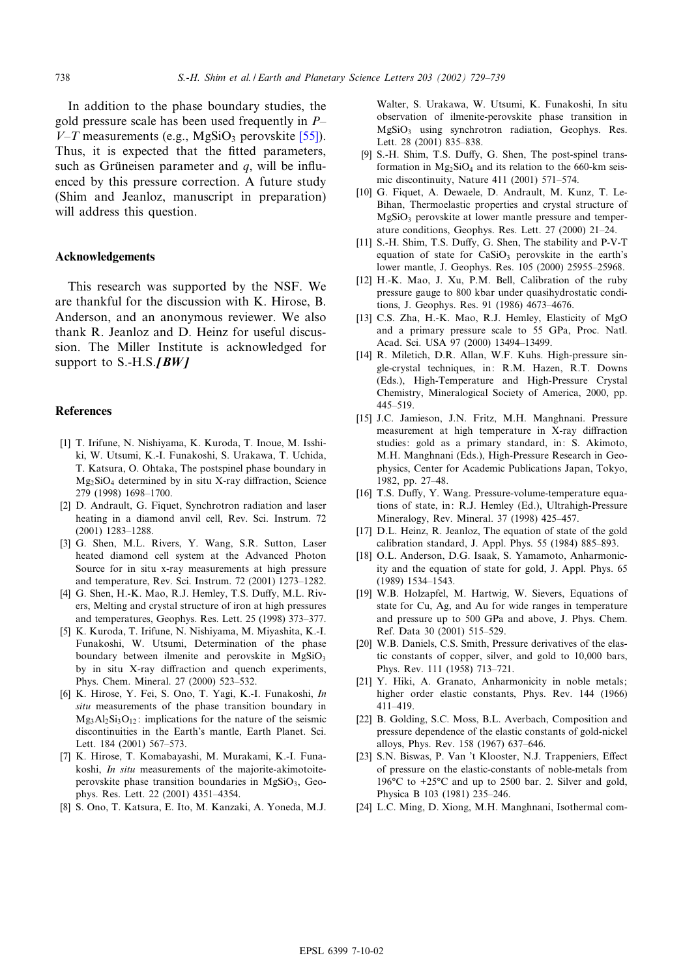<span id="page-9-0"></span>In addition to the phase boundary studie[s, th](#page-10-0)e gold pressure scale has been used frequently in  $P$ - $V-T$  measurements (e.g., MgSiO<sub>3</sub> perovskite [55]). Thus, it is expected that the fitted parameters, such as Grüneisen parameter and  $q$ , will be influenced by this pressure correction. A future study (Shim and Jeanloz, manuscript in preparation) will address this question.

#### Acknowledgements

This research was supported by the NSF. We are thankful for the discussion with K. Hirose, B. Anderson, and an anonymous reviewer. We also thank R. Jeanloz and D. Heinz for useful discussion. The Miller Institute is acknowledged for support to  $S.-H.S.JBWJ$ 

### References

- [1] T. Irifune, N. Nishiyama, K. Kuroda, T. Inoue, M. Isshiki, W. Utsumi, K.-I. Funakoshi, S. Urakawa, T. Uchida, T. Katsura, O. Ohtaka, The postspinel phase boundary in  $Mg_2SiO_4$  determined by in situ X-ray diffraction, Science 279 (1998) 1698^1700.
- [2] D. Andrault, G. Fiquet, Synchrotron radiation and laser heating in a diamond anvil cell, Rev. Sci. Instrum. 72 (2001) 1283-1288.
- [3] G. Shen, M.L. Rivers, Y. Wang, S.R. Sutton, Laser heated diamond cell system at the Advanced Photon Source for in situ x-ray measurements at high pressure and temperature, Rev. Sci. Instrum. 72 (2001) 1273^1282.
- [4] G. Shen, H.-K. Mao, R.J. Hemley, T.S. Duffy, M.L. Rivers, Melting and crystal structure of iron at high pressures and temperatures, Geophys. Res. Lett. 25 (1998) 373-377.
- [5] K. Kuroda, T. Irifune, N. Nishiyama, M. Miyashita, K.-I. Funakoshi, W. Utsumi, Determination of the phase boundary between ilmenite and perovskite in  $MgSiO<sub>3</sub>$ by in situ X-ray diffraction and quench experiments, Phys. Chem. Mineral. 27 (2000) 523^532.
- [6] K. Hirose, Y. Fei, S. Ono, T. Yagi, K.-I. Funakoshi, In situ measurements of the phase transition boundary in  $Mg_3Al_2Si_3O_{12}$ : implications for the nature of the seismic discontinuities in the Earth's mantle, Earth Planet. Sci. Lett. 184 (2001) 567-573.
- [7] K. Hirose, T. Komabayashi, M. Murakami, K.-I. Funakoshi, In situ measurements of the majorite-akimotoiteperovskite phase transition boundaries in  $MgSiO<sub>3</sub>$ , Geophys. Res. Lett. 22 (2001) 4351^4354.
- [8] S. Ono, T. Katsura, E. Ito, M. Kanzaki, A. Yoneda, M.J.

Walter, S. Urakawa, W. Utsumi, K. Funakoshi, In situ observation of ilmenite-perovskite phase transition in MgSiO3 using synchrotron radiation, Geophys. Res. Lett. 28 (2001) 835-838.

- [9] S.-H. Shim, T.S. Duffy, G. Shen, The post-spinel transformation in  $Mg_2SiO_4$  and its relation to the 660-km seismic discontinuity, Nature 411 (2001) 571^574.
- [10] G. Fiquet, A. Dewaele, D. Andrault, M. Kunz, T. Le-Bihan, Thermoelastic properties and crystal structure of  $MgSiO<sub>3</sub>$  perovskite at lower mantle pressure and temperature conditions, Geophys. Res. Lett. 27 (2000) 21^24.
- [11] S.-H. Shim, T.S. Duffy, G. Shen, The stability and P-V-T equation of state for  $CaSiO<sub>3</sub>$  perovskite in the earth's lower mantle, J. Geophys. Res. 105 (2000) 25955^25968.
- [12] H.-K. Mao, J. Xu, P.M. Bell, Calibration of the ruby pressure gauge to 800 kbar under quasihydrostatic conditions, J. Geophys. Res. 91 (1986) 4673^4676.
- [13] C.S. Zha, H.-K. Mao, R.J. Hemley, Elasticity of MgO and a primary pressure scale to 55 GPa, Proc. Natl. Acad. Sci. USA 97 (2000) 13494^13499.
- [14] R. Miletich, D.R. Allan, W.F. Kuhs. High-pressure single-crystal techniques, in: R.M. Hazen, R.T. Downs (Eds.), High-Temperature and High-Pressure Crystal Chemistry, Mineralogical Society of America, 2000, pp.  $445 - 519$ .
- [15] J.C. Jamieson, J.N. Fritz, M.H. Manghnani. Pressure measurement at high temperature in X-ray diffraction studies: gold as a primary standard, in: S. Akimoto, M.H. Manghnani (Eds.), High-Pressure Research in Geophysics, Center for Academic Publications Japan, Tokyo, 1982, pp. 27-48.
- [16] T.S. Duffy, Y. Wang. Pressure-volume-temperature equations of state, in: R.J. Hemley (Ed.), Ultrahigh-Pressure Mineralogy, Rev. Mineral. 37 (1998) 425^457.
- [17] D.L. Heinz, R. Jeanloz, The equation of state of the gold calibration standard, J. Appl. Phys. 55 (1984) 885^893.
- [18] O.L. Anderson, D.G. Isaak, S. Yamamoto, Anharmonicity and the equation of state for gold, J. Appl. Phys. 65 (1989) 1534^1543.
- [19] W.B. Holzapfel, M. Hartwig, W. Sievers, Equations of state for Cu, Ag, and Au for wide ranges in temperature and pressure up to 500 GPa and above, J. Phys. Chem. Ref. Data 30 (2001) 515^529.
- [20] W.B. Daniels, C.S. Smith, Pressure derivatives of the elastic constants of copper, silver, and gold to 10,000 bars, Phys. Rev. 111 (1958) 713-721.
- [21] Y. Hiki, A. Granato, Anharmonicity in noble metals; higher order elastic constants, Phys. Rev. 144 (1966) 411^419.
- [22] B. Golding, S.C. Moss, B.L. Averbach, Composition and pressure dependence of the elastic constants of gold-nickel alloys, Phys. Rev. 158 (1967) 637^646.
- [23] S.N. Biswas, P. Van 't Klooster, N.J. Trappeniers, Effect of pressure on the elastic-constants of noble-metals from 196 $\degree$ C to +25 $\degree$ C and up to 2500 bar. 2. Silver and gold, Physica B 103 (1981) 235-246.
- [24] L.C. Ming, D. Xiong, M.H. Manghnani, Isothermal com-